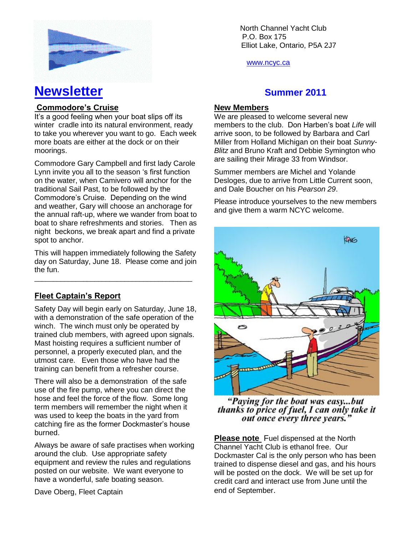

# **Newsletter CONFIDENTIFY ASSESSMENT REPORTS AND RESIDENT REPORTS ASSESSMENT REPORTS AND REPORT OF A SUMMER 2011**

## **Commodore's Cruise**

It's a good feeling when your boat slips off its winter cradle into its natural environment, ready to take you wherever you want to go. Each week more boats are either at the dock or on their moorings.

Commodore Gary Campbell and first lady Carole Lynn invite you all to the season 's first function on the water, when Camivero will anchor for the traditional Sail Past, to be followed by the Commodore's Cruise. Depending on the wind and weather, Gary will choose an anchorage for the annual raft-up, where we wander from boat to boat to share refreshments and stories. Then as night beckons, we break apart and find a private spot to anchor.

This will happen immediately following the Safety day on Saturday, June 18. Please come and join the fun.

\_\_\_\_\_\_\_\_\_\_\_\_\_\_\_\_\_\_\_\_\_\_\_\_\_\_\_\_\_\_\_\_\_\_\_\_\_\_\_\_\_\_

## **Fleet Captain's Report**

Safety Day will begin early on Saturday, June 18, with a demonstration of the safe operation of the winch. The winch must only be operated by trained club members, with agreed upon signals. Mast hoisting requires a sufficient number of personnel, a properly executed plan, and the utmost care. Even those who have had the training can benefit from a refresher course.

There will also be a demonstration of the safe use of the fire pump, where you can direct the hose and feel the force of the flow. Some long term members will remember the night when it was used to keep the boats in the yard from catching fire as the former Dockmaster's house burned.

Always be aware of safe practises when working around the club. Use appropriate safety equipment and review the rules and regulations posted on our website. We want everyone to have a wonderful, safe boating season.

Dave Oberg, Fleet Captain

North Channel Yacht Club \ P.O. Box 175 Elliot Lake, Ontario, P5A 2J7

www.ncyc.ca

#### **New Members**

We are pleased to welcome several new members to the club. Don Harben's boat *Life* will arrive soon, to be followed by Barbara and Carl Miller from Holland Michigan on their boat *Sunny-Blitz* and Bruno Kraft and Debbie Symington who are sailing their Mirage 33 from Windsor.

Summer members are Michel and Yolande Desloges, due to arrive from Little Current soon, and Dale Boucher on his *Pearson 29*.

Please introduce yourselves to the new members and give them a warm NCYC welcome.



"Paying for the boat was easy...but thanks to price of fuel, I can only take it out once every three years."

**Please note** Fuel dispensed at the North Channel Yacht Club is ethanol free. Our Dockmaster Cal is the only person who has been trained to dispense diesel and gas, and his hours will be posted on the dock. We will be set up for credit card and interact use from June until the end of September.